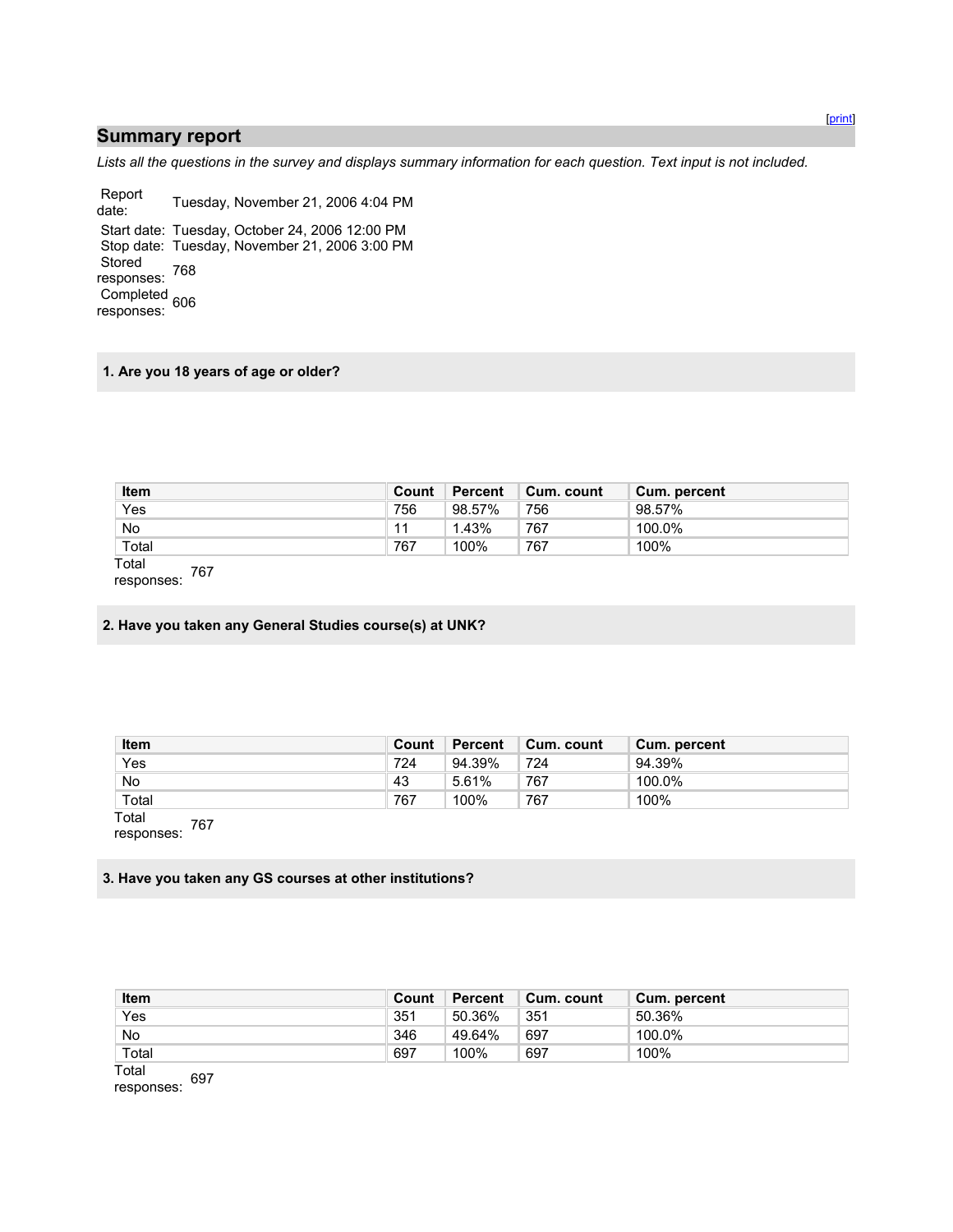### **Summary report**

*Lists all the questions in the survey and displays summary information for each question. Text input is not included.* 

Report<br>date: Tuesday, November 21, 2006 4:04 PM Start date: Tuesday, October 24, 2006 12:00 PM Stop date: Tuesday, November 21, 2006 3:00 PM Stored responses: 768 Completed responses: 606

#### **1. Are you 18 years of age or older?**

| <b>Item</b>  | Count | Percent | Cum. count | Cum. percent |
|--------------|-------|---------|------------|--------------|
| Yes          | 756   | 98.57%  | 756        | 98.57%       |
| No           |       | 1.43%   | 767        | 100.0%       |
| Total        | 767   | 100%    | 767        | 100%         |
| Total<br>707 |       |         |            |              |

responses: 767

**2. Have you taken any General Studies course(s) at UNK?** 

| <b>Item</b>  | Count | <b>Percent</b> | Cum. count | Cum. percent |
|--------------|-------|----------------|------------|--------------|
| Yes          | 724   | 94.39%         | 724        | 94.39%       |
| No.          | 43    | 5.61%          | 767        | 100.0%       |
| Total        | 767   | 100%           | 767        | 100%         |
| Total<br>707 |       |                |            |              |

responses: 767

#### **3. Have you taken any GS courses at other institutions?**

| <b>Item</b> | Count | Percent | Cum. count | Cum. percent |
|-------------|-------|---------|------------|--------------|
| Yes         | 351   | 50.36%  | 351        | 50.36%       |
| No          | 346   | 49.64%  | 697        | 100.0%       |
| Total       | 697   | 100%    | 697        | 100%         |
| .           |       |         |            |              |

Total responses: 697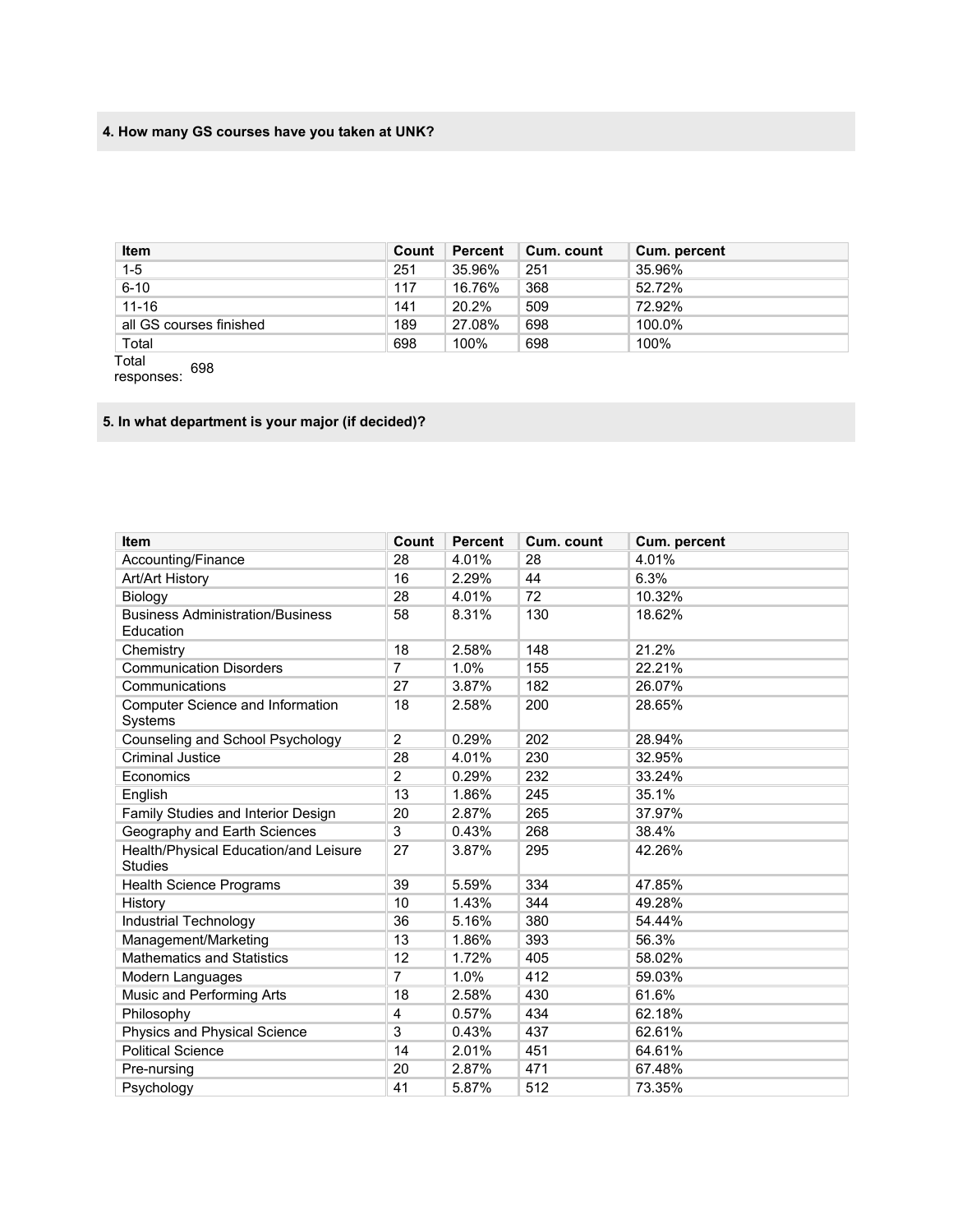# **4. How many GS courses have you taken at UNK?**

| <b>Item</b>             | Count | Percent | Cum. count | Cum. percent |
|-------------------------|-------|---------|------------|--------------|
| $1-5$                   | 251   | 35.96%  | 251        | 35.96%       |
| $6 - 10$                | 117   | 16.76%  | 368        | 52.72%       |
| $11 - 16$               | 141   | 20.2%   | 509        | 72.92%       |
| all GS courses finished | 189   | 27.08%  | 698        | 100.0%       |
| Total                   | 698   | 100%    | 698        | 100%         |

Total responses: 698

# **5. In what department is your major (if decided)?**

| Item                                                    | Count          | <b>Percent</b> | Cum. count | Cum. percent |
|---------------------------------------------------------|----------------|----------------|------------|--------------|
| Accounting/Finance                                      | 28             | 4.01%          | 28         | 4.01%        |
| Art/Art History                                         | 16             | 2.29%          | 44         | 6.3%         |
| Biology                                                 | 28             | 4.01%          | 72         | 10.32%       |
| <b>Business Administration/Business</b>                 | 58             | 8.31%          | 130        | 18.62%       |
| Education                                               |                |                |            |              |
| Chemistry                                               | 18             | 2.58%          | 148        | 21.2%        |
| <b>Communication Disorders</b>                          | 7              | 1.0%           | 155        | 22.21%       |
| Communications                                          | 27             | 3.87%          | 182        | 26.07%       |
| Computer Science and Information<br>Systems             | 18             | 2.58%          | 200        | 28.65%       |
| Counseling and School Psychology                        | $\overline{2}$ | 0.29%          | 202        | 28.94%       |
| <b>Criminal Justice</b>                                 | 28             | 4.01%          | 230        | 32.95%       |
| Economics                                               | $\overline{2}$ | 0.29%          | 232        | 33.24%       |
| English                                                 | 13             | 1.86%          | 245        | 35.1%        |
| Family Studies and Interior Design                      | 20             | 2.87%          | 265        | 37.97%       |
| Geography and Earth Sciences                            | 3              | 0.43%          | 268        | 38.4%        |
| Health/Physical Education/and Leisure<br><b>Studies</b> | 27             | 3.87%          | 295        | 42.26%       |
| <b>Health Science Programs</b>                          | 39             | 5.59%          | 334        | 47.85%       |
| History                                                 | 10             | 1.43%          | 344        | 49.28%       |
| Industrial Technology                                   | 36             | 5.16%          | 380        | 54.44%       |
| Management/Marketing                                    | 13             | 1.86%          | 393        | 56.3%        |
| <b>Mathematics and Statistics</b>                       | 12             | 1.72%          | 405        | 58.02%       |
| Modern Languages                                        | $\overline{7}$ | 1.0%           | 412        | 59.03%       |
| Music and Performing Arts                               | 18             | 2.58%          | 430        | 61.6%        |
| Philosophy                                              | 4              | 0.57%          | 434        | 62.18%       |
| Physics and Physical Science                            | 3              | 0.43%          | 437        | 62.61%       |
| <b>Political Science</b>                                | 14             | 2.01%          | 451        | 64.61%       |
| Pre-nursing                                             | 20             | 2.87%          | 471        | 67.48%       |
| Psychology                                              | 41             | 5.87%          | 512        | 73.35%       |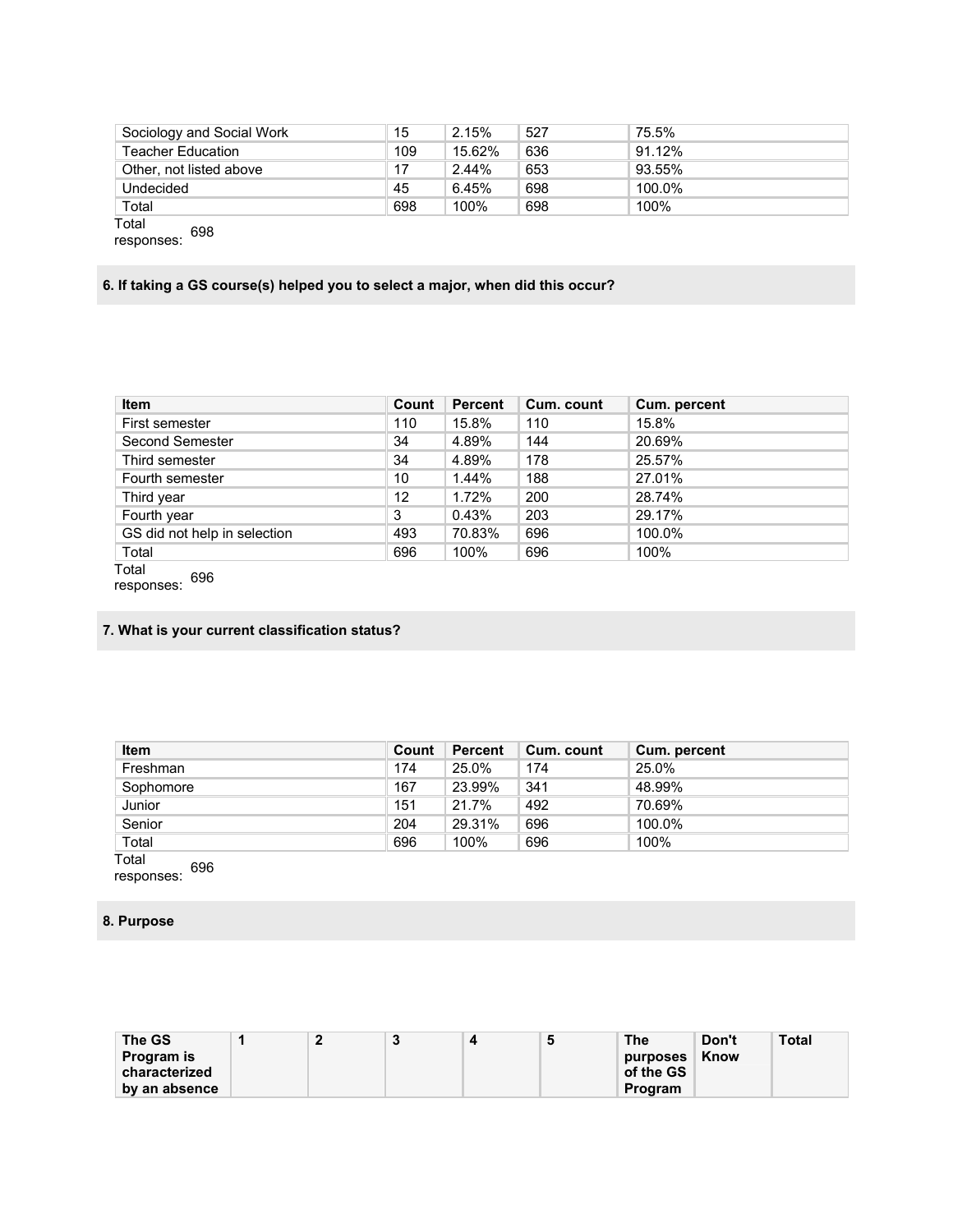| Sociology and Social Work | 15  | 2.15%  | 527 | 75.5%  |  |
|---------------------------|-----|--------|-----|--------|--|
| <b>Teacher Education</b>  | 109 | 15.62% | 636 | 91.12% |  |
| Other, not listed above   | 17  | 2.44%  | 653 | 93.55% |  |
| Undecided                 | 45  | 6.45%  | 698 | 100.0% |  |
| Total                     | 698 | 100%   | 698 | 100%   |  |
| Total<br><b>GOQ</b>       |     |        |     |        |  |

responses: 698

### **6. If taking a GS course(s) helped you to select a major, when did this occur?**

| <b>Item</b>                  | Count | <b>Percent</b> | Cum. count | Cum. percent |
|------------------------------|-------|----------------|------------|--------------|
| First semester               | 110   | 15.8%          | 110        | 15.8%        |
| Second Semester              | 34    | 4.89%          | 144        | 20.69%       |
| Third semester               | 34    | 4.89%          | 178        | 25.57%       |
| Fourth semester              | 10    | 1.44%          | 188        | 27.01%       |
| Third year                   | 12    | 1.72%          | 200        | 28.74%       |
| Fourth year                  | 3     | 0.43%          | 203        | 29.17%       |
| GS did not help in selection | 493   | 70.83%         | 696        | 100.0%       |
| Total                        | 696   | 100%           | 696        | 100%         |
| Total<br>coc.                |       |                |            |              |

responses: 696

# **7. What is your current classification status?**

| <b>Item</b> | Count | Percent | Cum. count | Cum. percent |
|-------------|-------|---------|------------|--------------|
| Freshman    | 174   | 25.0%   | 174        | 25.0%        |
| Sophomore   | 167   | 23.99%  | 341        | 48.99%       |
| Junior      | 151   | 21.7%   | 492        | 70.69%       |
| Senior      | 204   | 29.31%  | 696        | 100.0%       |
| Total       | 696   | 100%    | 696        | 100%         |

Total responses: 696

#### **8. Purpose**

| The GS            |  | $\ddot{\phantom{1}}$ | э | <b>The</b>    | Don't | Total |
|-------------------|--|----------------------|---|---------------|-------|-------|
| <b>Program</b> is |  |                      |   | purposes Know |       |       |
| characterized     |  |                      |   | of the GS     |       |       |
| by an absence     |  |                      |   | Program       |       |       |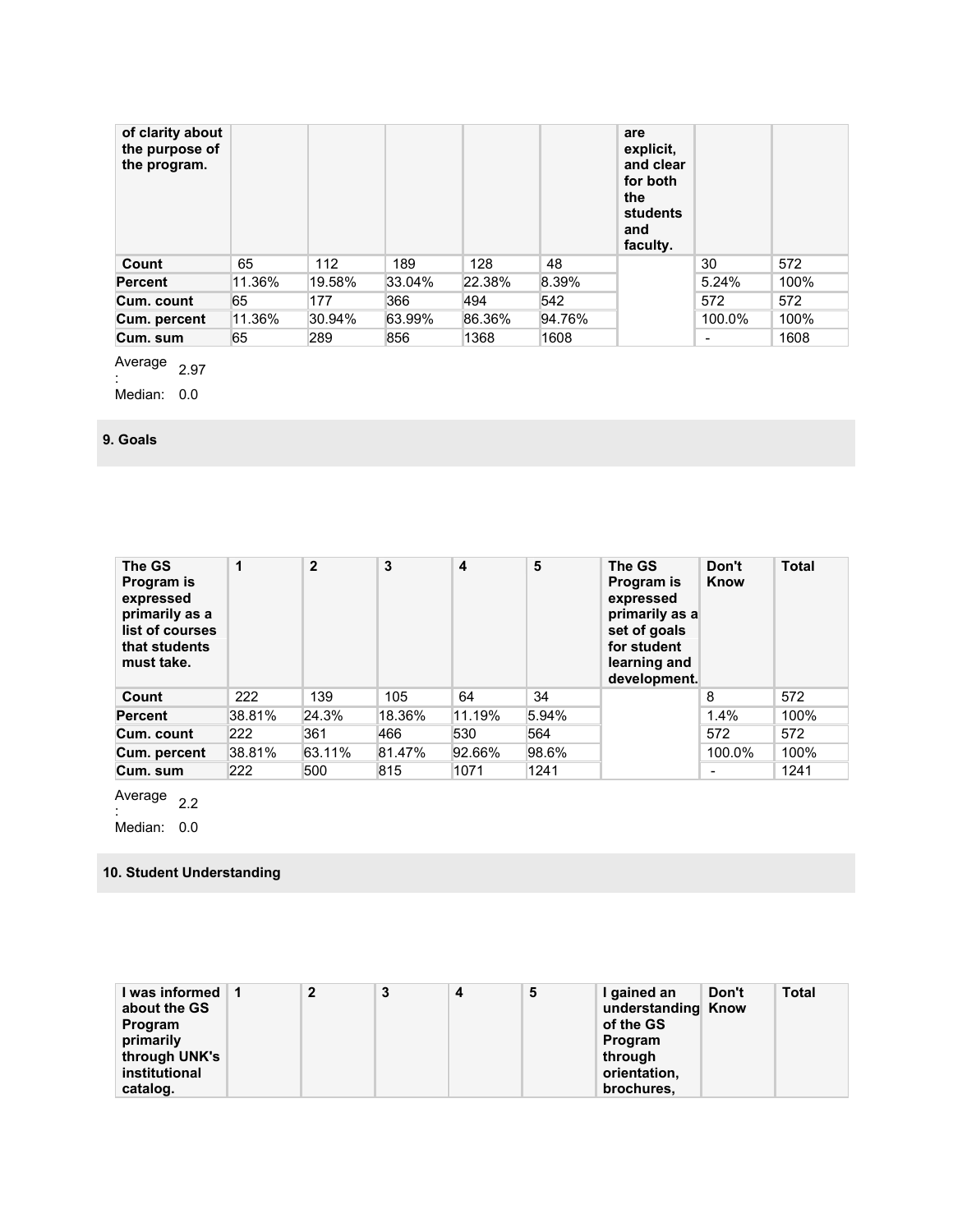| of clarity about<br>the purpose of<br>the program. |        |        |        |        |        | are<br>explicit,<br>and clear<br>for both<br>the<br>students<br>and<br>faculty. |        |      |
|----------------------------------------------------|--------|--------|--------|--------|--------|---------------------------------------------------------------------------------|--------|------|
| Count                                              | 65     | 112    | 189    | 128    | 48     |                                                                                 | 30     | 572  |
| <b>Percent</b>                                     | 11.36% | 19.58% | 33.04% | 22.38% | 8.39%  |                                                                                 | 5.24%  | 100% |
| Cum. count                                         | 65     | 177    | 366    | 494    | 542    |                                                                                 | 572    | 572  |
| Cum. percent                                       | 11.36% | 30.94% | 63.99% | 86.36% | 94.76% |                                                                                 | 100.0% | 100% |
| Cum. sum                                           | 65     | 289    | 856    | 1368   | 1608   |                                                                                 | -      | 1608 |

Average  $\frac{2.97}{ }$ 

Median: 0.0

**9. Goals** 

| The GS<br>Program is<br>expressed<br>primarily as a<br>list of courses<br>that students<br>must take. | 1      | $\mathbf{2}$ | 3      | 4      | 5     | The GS<br>Program is<br>expressed<br>primarily as a<br>set of goals<br>for student<br>learning and<br>development. | Don't<br>Know            | <b>Total</b> |
|-------------------------------------------------------------------------------------------------------|--------|--------------|--------|--------|-------|--------------------------------------------------------------------------------------------------------------------|--------------------------|--------------|
| Count                                                                                                 | 222    | 139          | 105    | 64     | 34    |                                                                                                                    | 8                        | 572          |
| <b>Percent</b>                                                                                        | 38.81% | 24.3%        | 18.36% | 11.19% | 5.94% |                                                                                                                    | 1.4%                     | 100%         |
| Cum. count                                                                                            | 222    | 361          | 466    | 530    | 564   |                                                                                                                    | 572                      | 572          |
| Cum. percent                                                                                          | 38.81% | 63.11%       | 81.47% | 92.66% | 98.6% |                                                                                                                    | 100.0%                   | 100%         |
| Cum. sum                                                                                              | 222    | 500          | 815    | 1071   | 1241  |                                                                                                                    | $\overline{\phantom{0}}$ | 1241         |

Average  $\frac{2.2}{1}$ 

Median: 0.0

### **10. Student Understanding**

| I was informed 11 | 2 | 3 | 5 | I gained an        | Don't | <b>Total</b> |
|-------------------|---|---|---|--------------------|-------|--------------|
| about the GS      |   |   |   | understanding Know |       |              |
| <b>Program</b>    |   |   |   | of the GS          |       |              |
| primarily         |   |   |   | Program            |       |              |
| through UNK's     |   |   |   | through            |       |              |
| institutional     |   |   |   | orientation.       |       |              |
| catalog.          |   |   |   | brochures.         |       |              |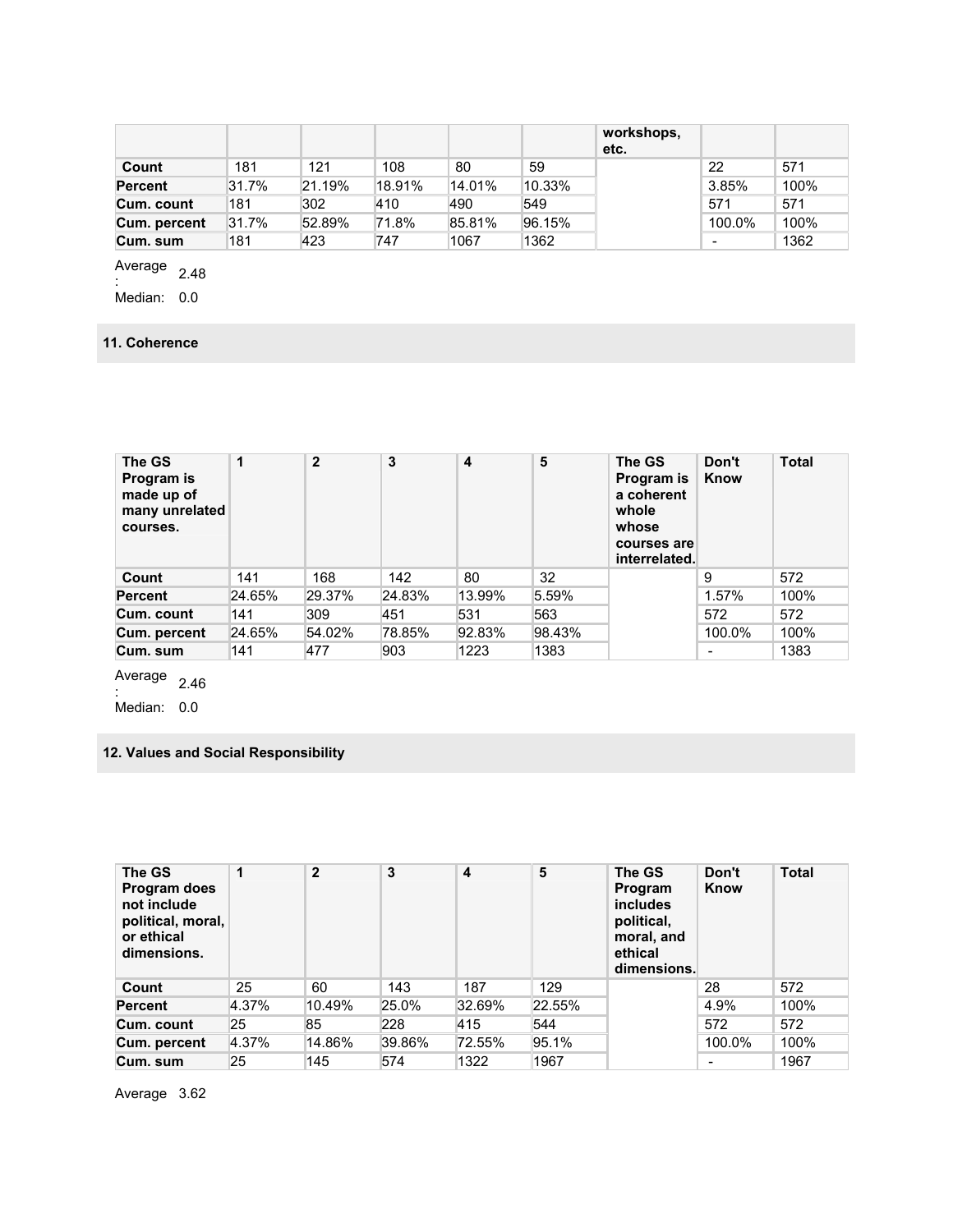|                |       |        |        |        |        | workshops,<br>etc. |        |      |
|----------------|-------|--------|--------|--------|--------|--------------------|--------|------|
| Count          | 181   | 121    | 108    | 80     | 59     |                    | 22     | 571  |
| <b>Percent</b> | 31.7% | 21.19% | 18.91% | 14.01% | 10.33% |                    | 3.85%  | 100% |
| Cum. count     | 181   | 302    | 410    | 490    | 549    |                    | 571    | 571  |
| Cum. percent   | 31.7% | 52.89% | 71.8%  | 85.81% | 96.15% |                    | 100.0% | 100% |
| Cum. sum       | 181   | 423    | 747    | 1067   | 1362   |                    |        | 1362 |

Average  $\frac{1}{2}$ <br> $\frac{1}{2}$ :

Median: 0.0

### **11. Coherence**

| The GS<br>Program is<br>made up of<br>many unrelated<br>courses. | 1      | $\mathbf{2}$ | 3      | $\overline{\mathbf{4}}$ | 5      | The GS<br>Program is<br>a coherent<br>whole<br>whose<br>courses are<br>interrelated. | Don't<br>Know            | <b>Total</b> |
|------------------------------------------------------------------|--------|--------------|--------|-------------------------|--------|--------------------------------------------------------------------------------------|--------------------------|--------------|
| Count                                                            | 141    | 168          | 142    | 80                      | 32     |                                                                                      | 9                        | 572          |
| <b>Percent</b>                                                   | 24.65% | 29.37%       | 24.83% | 13.99%                  | 5.59%  |                                                                                      | 1.57%                    | 100%         |
| Cum. count                                                       | 141    | 309          | 451    | 531                     | 563    |                                                                                      | 572                      | 572          |
| Cum. percent                                                     | 24.65% | 54.02%       | 78.85% | 92.83%                  | 98.43% |                                                                                      | 100.0%                   | 100%         |
| Cum. sum                                                         | 141    | 477          | 903    | 1223                    | 1383   |                                                                                      | $\overline{\phantom{0}}$ | 1383         |

Average  $\frac{2.46}{ }$ 

Median: 0.0

### **12. Values and Social Responsibility**

| The GS<br>Program does<br>not include<br>political, moral,<br>or ethical<br>dimensions. | 1     | $\overline{2}$ | 3      | 4      | 5      | The GS<br>Program<br><i>includes</i><br>political,<br>moral, and<br>ethical<br>dimensions. | Don't<br>Know            | <b>Total</b> |
|-----------------------------------------------------------------------------------------|-------|----------------|--------|--------|--------|--------------------------------------------------------------------------------------------|--------------------------|--------------|
| Count                                                                                   | 25    | 60             | 143    | 187    | 129    |                                                                                            | 28                       | 572          |
| <b>Percent</b>                                                                          | 4.37% | 10.49%         | 25.0%  | 32.69% | 22.55% |                                                                                            | 4.9%                     | 100%         |
| Cum. count                                                                              | 25    | 85             | 228    | 415    | 544    |                                                                                            | 572                      | 572          |
| Cum. percent                                                                            | 4.37% | 14.86%         | 39.86% | 72.55% | 95.1%  |                                                                                            | 100.0%                   | 100%         |
| Cum. sum                                                                                | 25    | 145            | 574    | 1322   | 1967   |                                                                                            | $\overline{\phantom{0}}$ | 1967         |

Average 3.62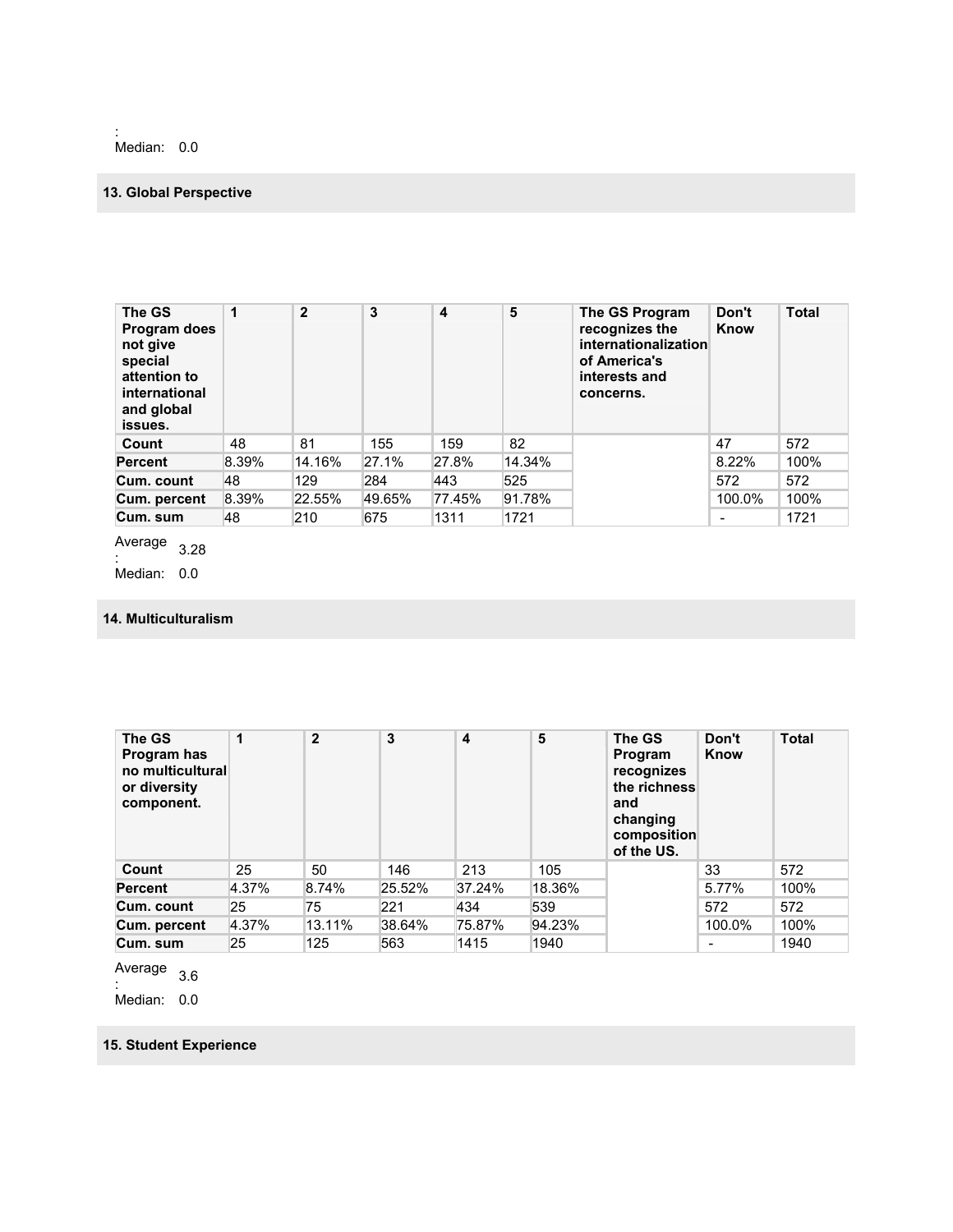: Median: 0.0

### **13. Global Perspective**

| The GS<br>Program does<br>not give<br>special<br>attention to<br>international<br>and global<br>issues. | 1     | $\mathbf{2}$ | 3      | 4      | 5      | The GS Program<br>recognizes the<br>internationalization<br>of America's<br>interests and<br>concerns. | Don't<br>Know | <b>Total</b> |
|---------------------------------------------------------------------------------------------------------|-------|--------------|--------|--------|--------|--------------------------------------------------------------------------------------------------------|---------------|--------------|
| Count                                                                                                   | 48    | 81           | 155    | 159    | 82     |                                                                                                        | 47            | 572          |
| <b>Percent</b>                                                                                          | 8.39% | 14.16%       | 27.1%  | 27.8%  | 14.34% |                                                                                                        | 8.22%         | 100%         |
| Cum. count                                                                                              | 48    | 129          | 284    | 443    | 525    |                                                                                                        | 572           | 572          |
| Cum. percent                                                                                            | 8.39% | 22.55%       | 49.65% | 77.45% | 91.78% |                                                                                                        | 100.0%        | 100%         |
| Cum. sum                                                                                                | 48    | 210          | 675    | 1311   | 1721   |                                                                                                        |               | 1721         |

Average  $\frac{1}{2}$ :

Median: 0.0

### **14. Multiculturalism**

| The GS<br>Program has<br>no multicultural<br>or diversity<br>component. | 1     | $\mathbf{2}$ | 3      | $\overline{\mathbf{4}}$ | 5      | The GS<br>Program<br>recognizes<br>the richness<br>and<br>changing<br>composition<br>of the US. | Don't<br>Know | <b>Total</b> |
|-------------------------------------------------------------------------|-------|--------------|--------|-------------------------|--------|-------------------------------------------------------------------------------------------------|---------------|--------------|
| Count                                                                   | 25    | 50           | 146    | 213                     | 105    |                                                                                                 | 33            | 572          |
| <b>Percent</b>                                                          | 4.37% | 8.74%        | 25.52% | 37.24%                  | 18.36% |                                                                                                 | 5.77%         | 100%         |
| Cum. count                                                              | 25    | 75           | 221    | 434                     | 539    |                                                                                                 | 572           | 572          |
| Cum. percent                                                            | 4.37% | 13.11%       | 38.64% | 75.87%                  | 94.23% |                                                                                                 | 100.0%        | 100%         |
| Cum. sum                                                                | 25    | 125          | 563    | 1415                    | 1940   |                                                                                                 | ۰             | 1940         |

Average

 $\frac{1}{2}$ . 3.6

Median: 0.0

### **15. Student Experience**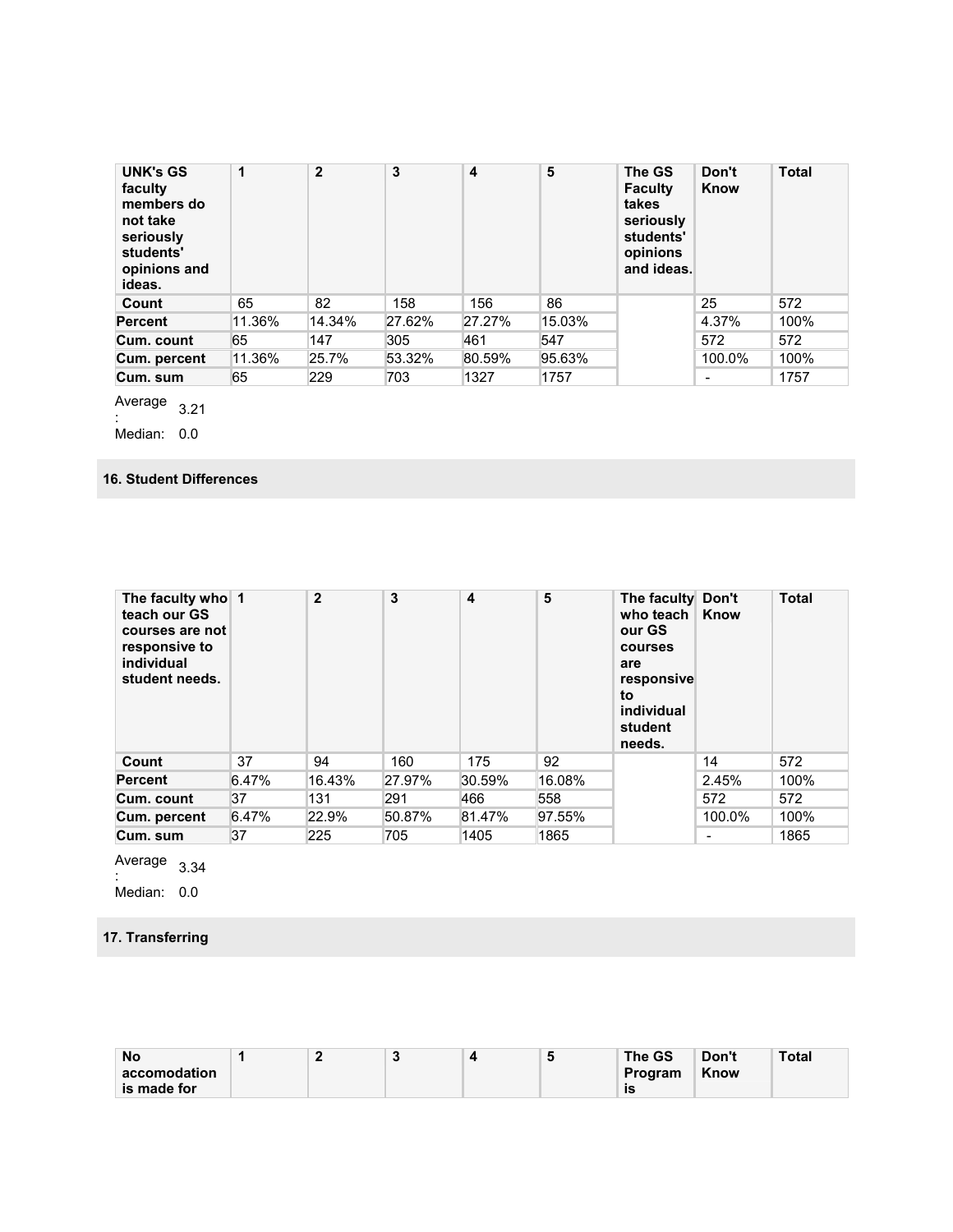| <b>UNK's GS</b><br>faculty<br>members do<br>not take<br>seriously<br>students'<br>opinions and<br>ideas. | 1      | $\mathbf{2}$ | 3      | $\overline{\mathbf{4}}$ | 5      | The GS<br><b>Faculty</b><br>takes<br>seriously<br>students'<br>opinions<br>and ideas. | Don't<br>Know            | <b>Total</b> |
|----------------------------------------------------------------------------------------------------------|--------|--------------|--------|-------------------------|--------|---------------------------------------------------------------------------------------|--------------------------|--------------|
| Count                                                                                                    | 65     | 82           | 158    | 156                     | 86     |                                                                                       | 25                       | 572          |
| <b>Percent</b>                                                                                           | 11.36% | 14.34%       | 27.62% | 27.27%                  | 15.03% |                                                                                       | 4.37%                    | 100%         |
| Cum. count                                                                                               | 65     | 147          | 305    | 461                     | 547    |                                                                                       | 572                      | 572          |
| Cum. percent                                                                                             | 11.36% | 25.7%        | 53.32% | 80.59%                  | 95.63% |                                                                                       | 100.0%                   | 100%         |
| Cum. sum                                                                                                 | 65     | 229          | 703    | 1327                    | 1757   |                                                                                       | $\overline{\phantom{a}}$ | 1757         |

Average

 $\frac{1}{2}$ : Median: 0.0

#### **16. Student Differences**

| The faculty who 1<br>teach our GS<br>courses are not<br>responsive to<br>individual<br>student needs. |       | $\overline{2}$ | 3      | 4      | 5      | The faculty Don't<br>who teach<br>our GS<br>courses<br>are<br>responsive<br>to<br>individual<br>student<br>needs. | Know   | <b>Total</b> |
|-------------------------------------------------------------------------------------------------------|-------|----------------|--------|--------|--------|-------------------------------------------------------------------------------------------------------------------|--------|--------------|
| Count                                                                                                 | 37    | 94             | 160    | 175    | 92     |                                                                                                                   | 14     | 572          |
| <b>Percent</b>                                                                                        | 6.47% | 16.43%         | 27.97% | 30.59% | 16.08% |                                                                                                                   | 2.45%  | 100%         |
| Cum. count                                                                                            | 37    | 131            | 291    | 466    | 558    |                                                                                                                   | 572    | 572          |
| Cum. percent                                                                                          | 6.47% | 22.9%          | 50.87% | 81.47% | 97.55% |                                                                                                                   | 100.0% | 100%         |
| Cum. sum                                                                                              | 37    | 225            | 705    | 1405   | 1865   |                                                                                                                   | -      | 1865         |

Average  $\frac{1}{2}$ :

Median: 0.0

# **17. Transferring**

| <b>No</b>    |  | w | . . | The GS  | Don't | Total |
|--------------|--|---|-----|---------|-------|-------|
| accomodation |  |   |     | Program | Know  |       |
| is made for  |  |   |     | İS      |       |       |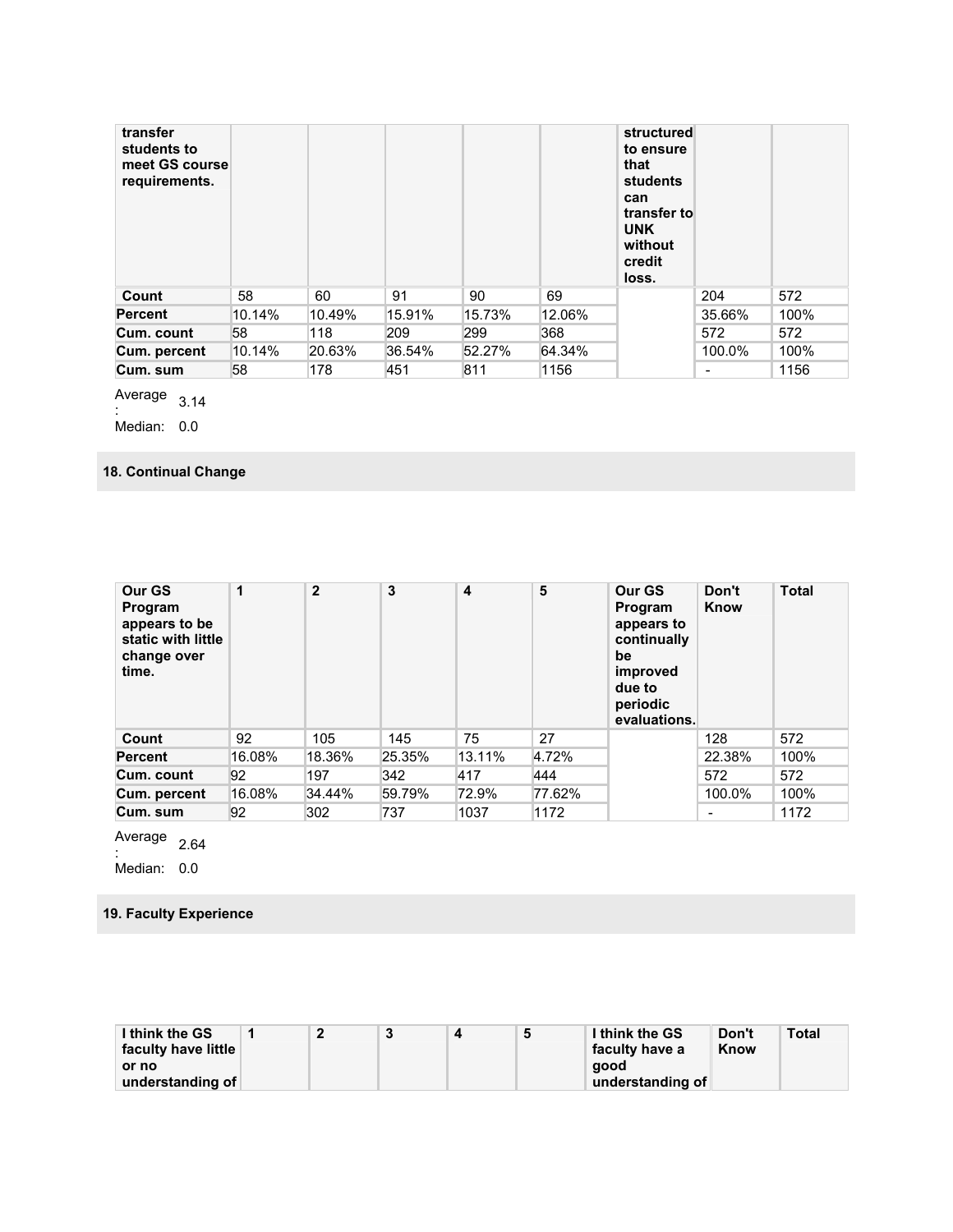| transfer<br>students to<br>meet GS course<br>requirements. |        |        |        |        |        | structured<br>to ensure<br>that<br>students<br>can<br>transfer to<br><b>UNK</b><br>without<br>credit<br>loss. |        |      |
|------------------------------------------------------------|--------|--------|--------|--------|--------|---------------------------------------------------------------------------------------------------------------|--------|------|
| Count                                                      | 58     | 60     | 91     | 90     | 69     |                                                                                                               | 204    | 572  |
| <b>Percent</b>                                             | 10.14% | 10.49% | 15.91% | 15.73% | 12.06% |                                                                                                               | 35.66% | 100% |
| Cum. count                                                 | 58     | 118    | 209    | 299    | 368    |                                                                                                               | 572    | 572  |
| Cum. percent                                               | 10.14% | 20.63% | 36.54% | 52.27% | 64.34% |                                                                                                               | 100.0% | 100% |
| Cum. sum                                                   | 58     | 178    | 451    | 811    | 1156   |                                                                                                               |        | 1156 |

Average  $\frac{1}{2}$ :

Median: 0.0

# **18. Continual Change**

| Our GS<br>Program<br>appears to be<br>static with little<br>change over<br>time. | 1      | $\mathbf{2}$ | 3      | $\overline{\mathbf{4}}$ | 5      | Our GS<br>Program<br>appears to<br>continually<br>be<br>improved<br>due to<br>periodic<br>evaluations. | Don't<br>Know | <b>Total</b> |
|----------------------------------------------------------------------------------|--------|--------------|--------|-------------------------|--------|--------------------------------------------------------------------------------------------------------|---------------|--------------|
| Count                                                                            | 92     | 105          | 145    | 75                      | 27     |                                                                                                        | 128           | 572          |
| <b>Percent</b>                                                                   | 16.08% | 18.36%       | 25.35% | 13.11%                  | 4.72%  |                                                                                                        | 22.38%        | 100%         |
| Cum. count                                                                       | 92     | 197          | 342    | 417                     | 444    |                                                                                                        | 572           | 572          |
| Cum. percent                                                                     | 16.08% | 34.44%       | 59.79% | 72.9%                   | 77.62% |                                                                                                        | 100.0%        | 100%         |
| Cum. sum                                                                         | 92     | 302          | 737    | 1037                    | 1172   |                                                                                                        | ۰             | 1172         |

Average  $\frac{2.64}{ }$ 

Median: 0.0

### **19. Faculty Experience**

| I think the GS      |  |  | Ð | I think the GS   | Don't | <b>Total</b> |
|---------------------|--|--|---|------------------|-------|--------------|
| faculty have little |  |  |   | faculty have a   | Know  |              |
| or no               |  |  |   | aood             |       |              |
| understanding of    |  |  |   | understanding of |       |              |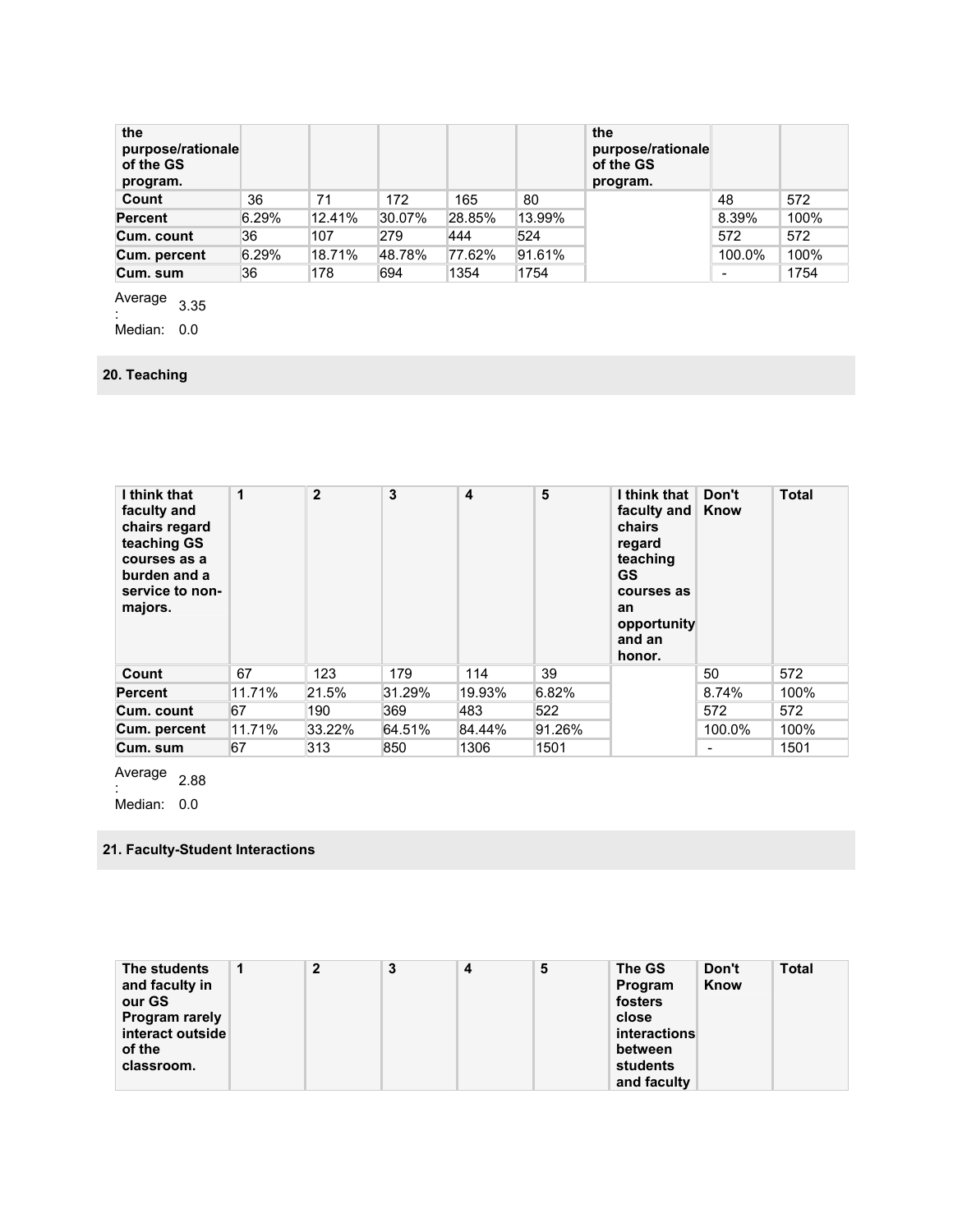| the<br>purpose/rationale<br>of the GS<br>program. |       |        |        |        |        | the<br>purpose/rationale<br>of the GS<br>program. |        |      |
|---------------------------------------------------|-------|--------|--------|--------|--------|---------------------------------------------------|--------|------|
| Count                                             | 36    | 71     | 172    | 165    | 80     |                                                   | 48     | 572  |
| <b>Percent</b>                                    | 6.29% | 12.41% | 30.07% | 28.85% | 13.99% |                                                   | 8.39%  | 100% |
| Cum. count                                        | 36    | 107    | 279    | 444    | 524    |                                                   | 572    | 572  |
| Cum. percent                                      | 6.29% | 18.71% | 48.78% | 77.62% | 91.61% |                                                   | 100.0% | 100% |
| Cum. sum                                          | 36    | 178    | 694    | 1354   | 1754   |                                                   | -      | 1754 |

Average  $\frac{1}{2}$ <br>:

Median: 0.0

# **20. Teaching**

| I think that<br>faculty and<br>chairs regard<br>teaching GS<br>courses as a<br>burden and a<br>service to non-<br>majors. | 1      | $\mathbf{2}$ | 3      | 4      | 5      | I think that<br>faculty and  <br>chairs<br>regard<br>teaching<br><b>GS</b><br>courses as<br>an<br>opportunity<br>and an<br>honor. | Don't<br>Know | <b>Total</b> |
|---------------------------------------------------------------------------------------------------------------------------|--------|--------------|--------|--------|--------|-----------------------------------------------------------------------------------------------------------------------------------|---------------|--------------|
| Count                                                                                                                     | 67     | 123          | 179    | 114    | 39     |                                                                                                                                   | 50            | 572          |
| <b>Percent</b>                                                                                                            | 11.71% | 21.5%        | 31.29% | 19.93% | 6.82%  |                                                                                                                                   | 8.74%         | 100%         |
| Cum. count                                                                                                                | 67     | 190          | 369    | 483    | 522    |                                                                                                                                   | 572           | 572          |
| Cum. percent                                                                                                              | 11.71% | 33.22%       | 64.51% | 84.44% | 91.26% |                                                                                                                                   | 100.0%        | 100%         |
| Cum. sum                                                                                                                  | 67     | 313          | 850    | 1306   | 1501   |                                                                                                                                   | ٠             | 1501         |

Average  $\frac{2.88}{1}$ 

Median: 0.0

### **21. Faculty-Student Interactions**

| The students          | $\mathbf{2}$ | 3 | 4 | 5 | The GS              | Don't | <b>Total</b> |
|-----------------------|--------------|---|---|---|---------------------|-------|--------------|
| and faculty in        |              |   |   |   | Program             | Know  |              |
| our GS                |              |   |   |   | fosters             |       |              |
| <b>Program rarely</b> |              |   |   |   | close               |       |              |
| interact outside      |              |   |   |   | <i>interactions</i> |       |              |
| of the                |              |   |   |   | between             |       |              |
| classroom.            |              |   |   |   | students            |       |              |
|                       |              |   |   |   | and faculty         |       |              |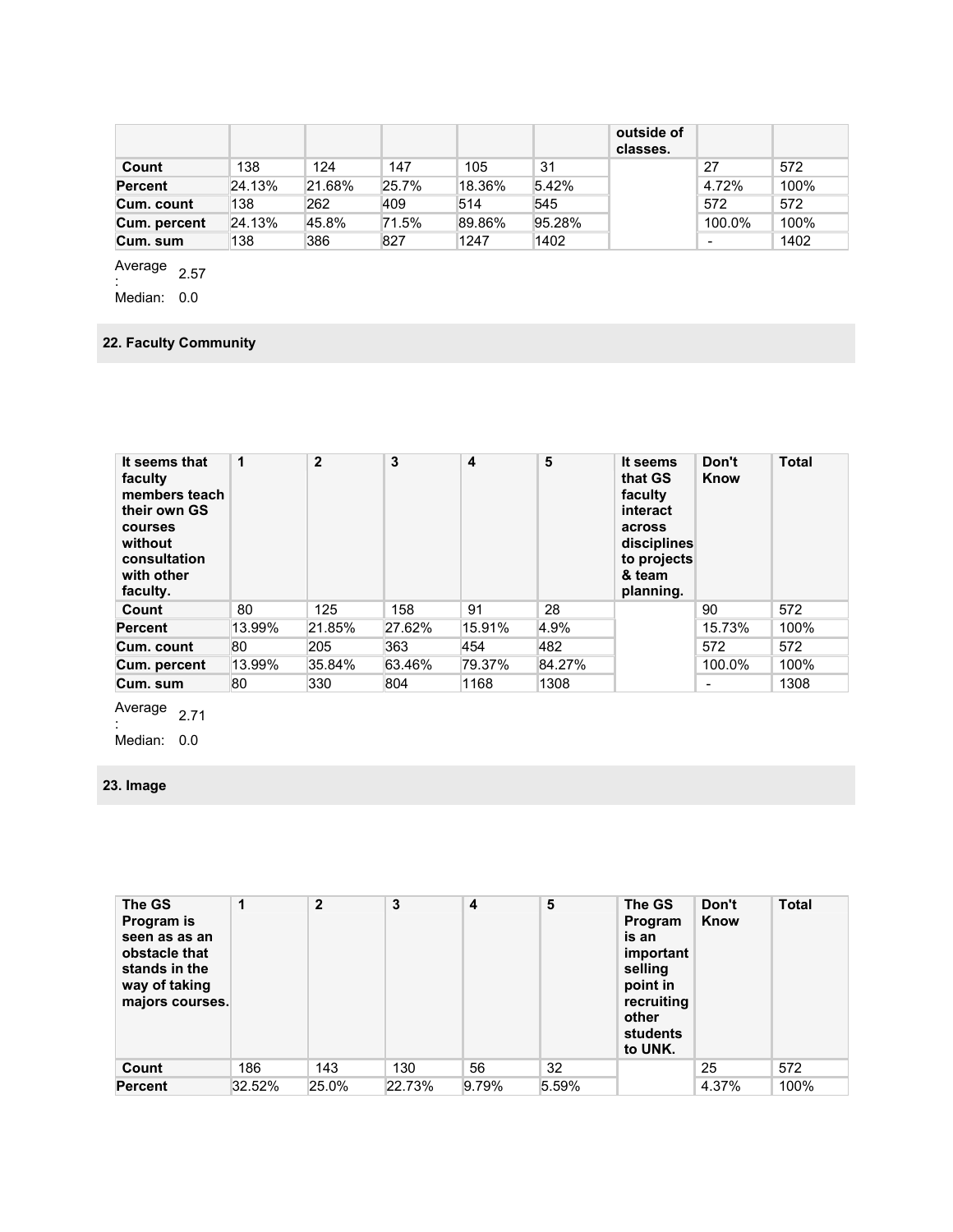|                |        |        |       |        |        | outside of<br>classes. |        |      |
|----------------|--------|--------|-------|--------|--------|------------------------|--------|------|
| Count          | 138    | 124    | 147   | 105    | 31     |                        | 27     | 572  |
| <b>Percent</b> | 24.13% | 21.68% | 25.7% | 18.36% | 5.42%  |                        | 4.72%  | 100% |
| Cum. count     | 138    | 262    | 409   | 514    | 545    |                        | 572    | 572  |
| Cum. percent   | 24.13% | 45.8%  | 71.5% | 89.86% | 95.28% |                        | 100.0% | 100% |
| Cum. sum       | 138    | 386    | 827   | 1247   | 1402   |                        | -      | 1402 |

Average  $\frac{1}{2}$ . 2.57

Median: 0.0

### **22. Faculty Community**

| It seems that<br>faculty<br>members teach<br>their own GS<br><b>courses</b><br>without<br>consultation<br>with other<br>faculty. | 1      | $\overline{2}$ | 3      | 4      | 5      | It seems<br>that GS<br>faculty<br>interact<br>across<br>disciplines<br>to projects<br>& team<br>planning. | Don't<br>Know | <b>Total</b> |
|----------------------------------------------------------------------------------------------------------------------------------|--------|----------------|--------|--------|--------|-----------------------------------------------------------------------------------------------------------|---------------|--------------|
| Count                                                                                                                            | 80     | 125            | 158    | 91     | 28     |                                                                                                           | 90            | 572          |
| <b>Percent</b>                                                                                                                   | 13.99% | 21.85%         | 27.62% | 15.91% | 4.9%   |                                                                                                           | 15.73%        | 100%         |
| Cum. count                                                                                                                       | 80     | 205            | 363    | 454    | 482    |                                                                                                           | 572           | 572          |
| Cum. percent                                                                                                                     | 13.99% | 35.84%         | 63.46% | 79.37% | 84.27% |                                                                                                           | 100.0%        | 100%         |
| Cum. sum                                                                                                                         | 80     | 330            | 804    | 1168   | 1308   |                                                                                                           |               | 1308         |

Average  $\frac{2.71}{ }$ 

Median: 0.0

# **23. Image**

| The GS<br>Program is<br>seen as as an<br>obstacle that<br>stands in the<br>way of taking<br>majors courses. | 1      | $\overline{2}$ | 3      | 4     | 5     | The GS<br>Program<br>is an<br>important<br>selling<br>point in<br>recruiting<br>other<br>students<br>to UNK. | Don't<br>Know | <b>Total</b> |
|-------------------------------------------------------------------------------------------------------------|--------|----------------|--------|-------|-------|--------------------------------------------------------------------------------------------------------------|---------------|--------------|
| Count                                                                                                       | 186    | 143            | 130    | 56    | 32    |                                                                                                              | 25            | 572          |
| <b>Percent</b>                                                                                              | 32.52% | 25.0%          | 22.73% | 9.79% | 5.59% |                                                                                                              | 4.37%         | 100%         |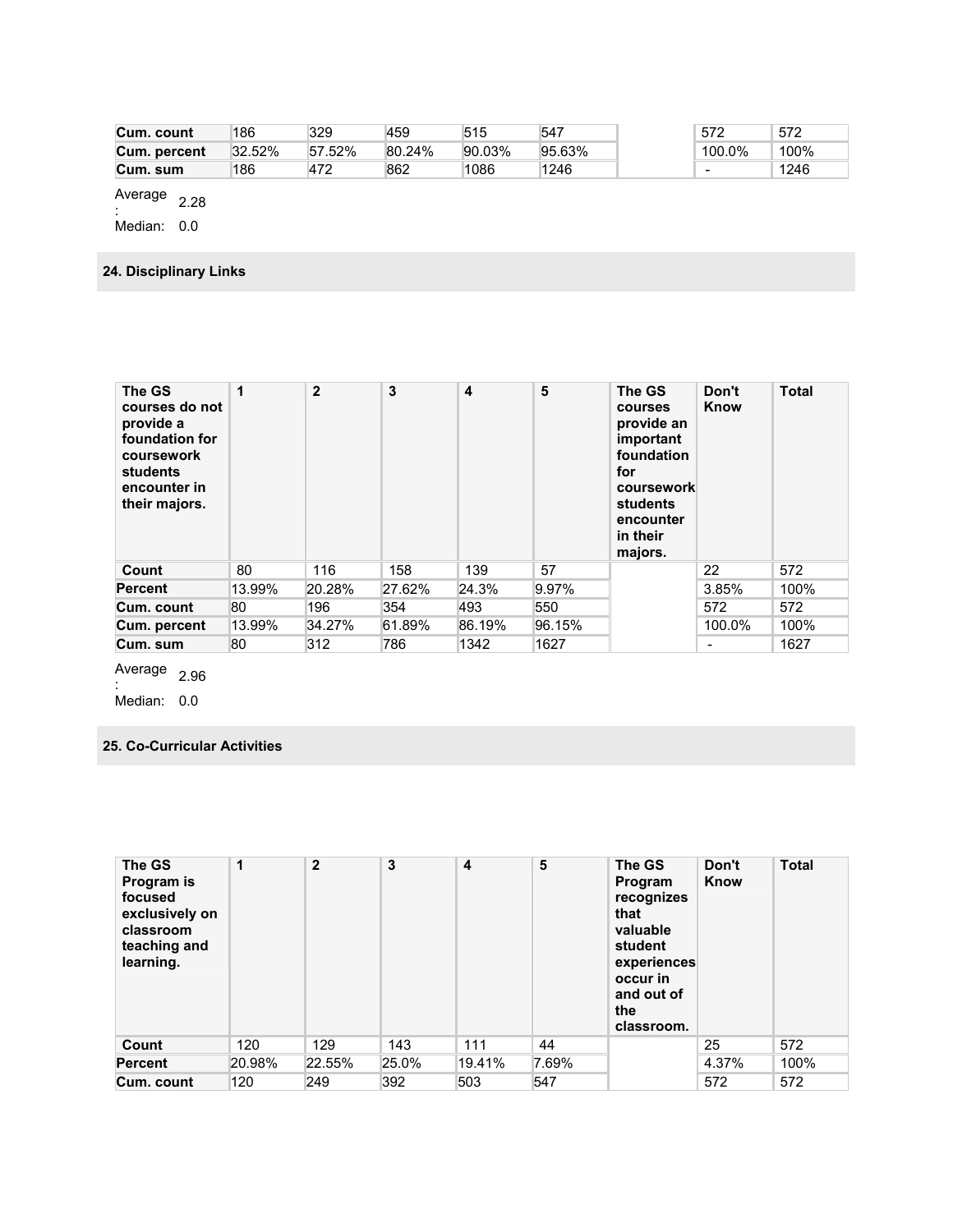| Cum. count   | 186       | 329    | 459    | 515    | 547    | 572                      | 572  |
|--------------|-----------|--------|--------|--------|--------|--------------------------|------|
| Cum. percent | $32.52\%$ | 57.52% | 80.24% | 90.03% | 95.63% | 100.0%                   | 100% |
| Cum. sum     | 186       | 472    | 862    | 1086   | 1246   | $\overline{\phantom{0}}$ | 1246 |

Average  $\frac{2.28}{1}$ 

Median: 0.0

**24. Disciplinary Links** 

| The GS<br>courses do not<br>provide a<br>foundation for<br>coursework<br>students<br>encounter in<br>their majors. | 1      | $\overline{2}$ | 3      | 4      | 5      | The GS<br><b>courses</b><br>provide an<br>important<br>foundation<br>for<br>coursework<br>students<br>encounter<br>in their<br>majors. | Don't<br>Know            | <b>Total</b> |
|--------------------------------------------------------------------------------------------------------------------|--------|----------------|--------|--------|--------|----------------------------------------------------------------------------------------------------------------------------------------|--------------------------|--------------|
| Count                                                                                                              | 80     | 116            | 158    | 139    | 57     |                                                                                                                                        | 22                       | 572          |
| <b>Percent</b>                                                                                                     | 13.99% | 20.28%         | 27.62% | 24.3%  | 9.97%  |                                                                                                                                        | 3.85%                    | 100%         |
| Cum. count                                                                                                         | 80     | 196            | 354    | 493    | 550    |                                                                                                                                        | 572                      | 572          |
| Cum. percent                                                                                                       | 13.99% | 34.27%         | 61.89% | 86.19% | 96.15% |                                                                                                                                        | 100.0%                   | 100%         |
| Cum. sum                                                                                                           | 80     | 312            | 786    | 1342   | 1627   |                                                                                                                                        | $\overline{\phantom{0}}$ | 1627         |

Average  $\frac{2.96}{2.96}$ 

Median: 0.0

### **25. Co-Curricular Activities**

| The GS<br>Program is<br>focused<br>exclusively on<br>classroom<br>teaching and<br>learning. | 1      | $\overline{2}$ | 3     | $\overline{\mathbf{4}}$ | 5     | The GS<br>Program<br>recognizes<br>that<br>valuable<br>student<br>experiences<br>occur in<br>and out of<br>the<br>classroom. | Don't<br>Know | <b>Total</b> |
|---------------------------------------------------------------------------------------------|--------|----------------|-------|-------------------------|-------|------------------------------------------------------------------------------------------------------------------------------|---------------|--------------|
| Count                                                                                       | 120    | 129            | 143   | 111                     | 44    |                                                                                                                              | 25            | 572          |
| <b>Percent</b>                                                                              | 20.98% | 22.55%         | 25.0% | 19.41%                  | 7.69% |                                                                                                                              | 4.37%         | 100%         |
| Cum. count                                                                                  | 120    | 249            | 392   | 503                     | 547   |                                                                                                                              | 572           | 572          |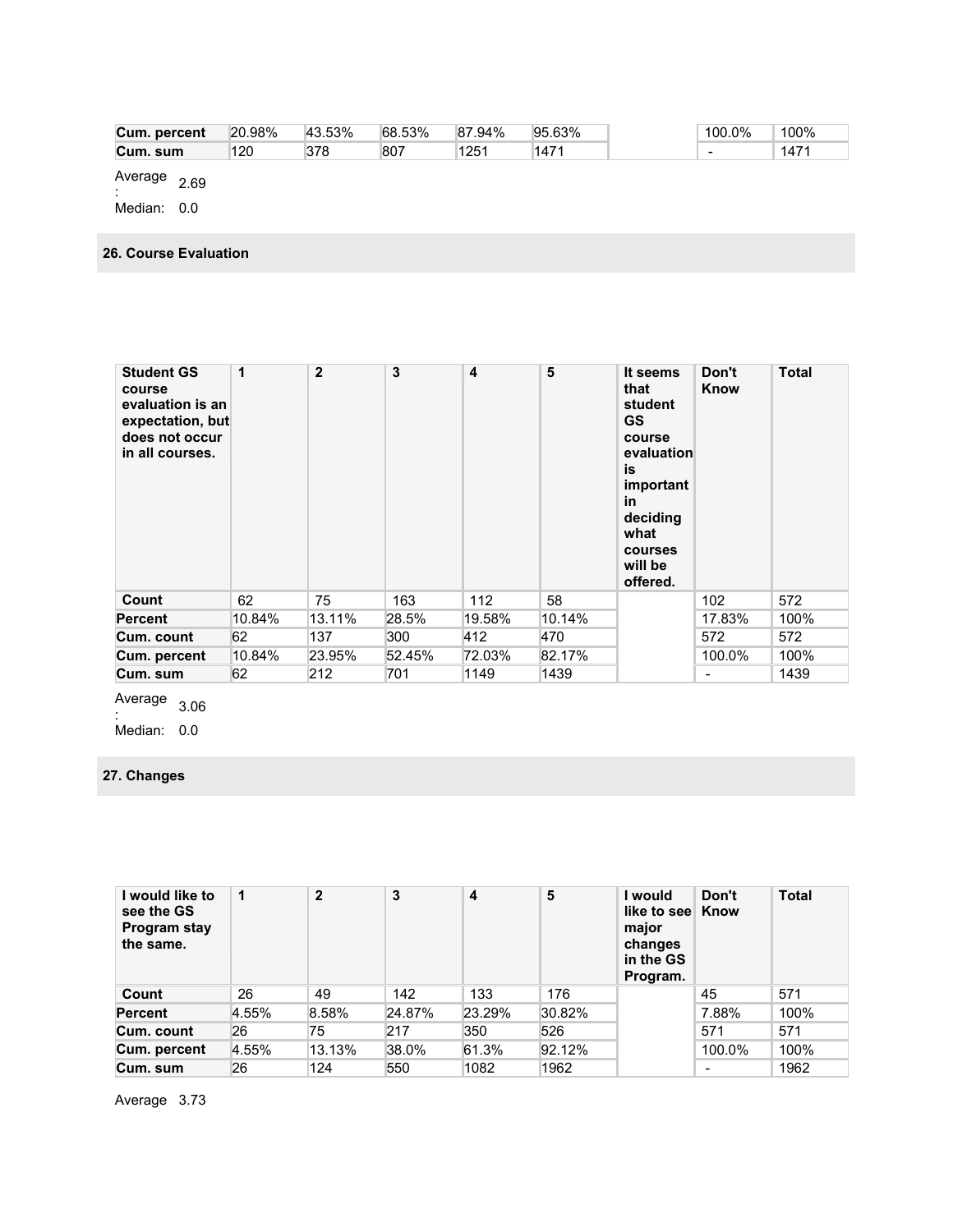| Cum. percent | 20.98% | 43.53% | 68.53% | $.94\%$<br>87 | 95.63% | 100.0% | 100% |
|--------------|--------|--------|--------|---------------|--------|--------|------|
| Cum. sum     | 120    | 378    | 807    | 125'          | 1471   | -      | 1471 |
|              |        |        |        |               |        |        |      |

Average  $\frac{2.69}{2.69}$ 

Median: 0.0

**26. Course Evaluation** 

| <b>Student GS</b><br>course<br>evaluation is an<br>expectation, but<br>does not occur<br>in all courses. | 1      | $\overline{2}$ | 3      | $\overline{\mathbf{4}}$ | 5      | It seems<br>that<br>student<br><b>GS</b><br>course<br>evaluation<br>is<br>important<br>in<br>deciding<br>what<br>courses<br>will be<br>offered. | Don't<br>Know            | <b>Total</b> |
|----------------------------------------------------------------------------------------------------------|--------|----------------|--------|-------------------------|--------|-------------------------------------------------------------------------------------------------------------------------------------------------|--------------------------|--------------|
| Count                                                                                                    | 62     | 75             | 163    | 112                     | 58     |                                                                                                                                                 | 102                      | 572          |
| <b>Percent</b>                                                                                           | 10.84% | 13.11%         | 28.5%  | 19.58%                  | 10.14% |                                                                                                                                                 | 17.83%                   | 100%         |
| Cum. count                                                                                               | 62     | 137            | 300    | 412                     | 470    |                                                                                                                                                 | 572                      | 572          |
| Cum. percent                                                                                             | 10.84% | 23.95%         | 52.45% | 72.03%                  | 82.17% |                                                                                                                                                 | 100.0%                   | 100%         |
| Cum. sum                                                                                                 | 62     | 212            | 701    | 1149                    | 1439   |                                                                                                                                                 | $\overline{\phantom{a}}$ | 1439         |

Average  $\frac{206}{206}$ 

Median: 0.0

# **27. Changes**

| I would like to<br>see the GS<br>Program stay<br>the same. | $\mathbf 1$ | $\overline{2}$ | 3      | 4      | 5      | I would<br>like to see Know<br>major<br>changes<br>in the GS<br>Program. | Don't  | <b>Total</b> |
|------------------------------------------------------------|-------------|----------------|--------|--------|--------|--------------------------------------------------------------------------|--------|--------------|
| Count                                                      | 26          | 49             | 142    | 133    | 176    |                                                                          | 45     | 571          |
| <b>Percent</b>                                             | 4.55%       | 8.58%          | 24.87% | 23.29% | 30.82% |                                                                          | 7.88%  | 100%         |
| Cum. count                                                 | 26          | 75             | 217    | 350    | 526    |                                                                          | 571    | 571          |
| Cum. percent                                               | 4.55%       | 13.13%         | 38.0%  | 61.3%  | 92.12% |                                                                          | 100.0% | 100%         |
| Cum. sum                                                   | 26          | 124            | 550    | 1082   | 1962   |                                                                          | -      | 1962         |

Average 3.73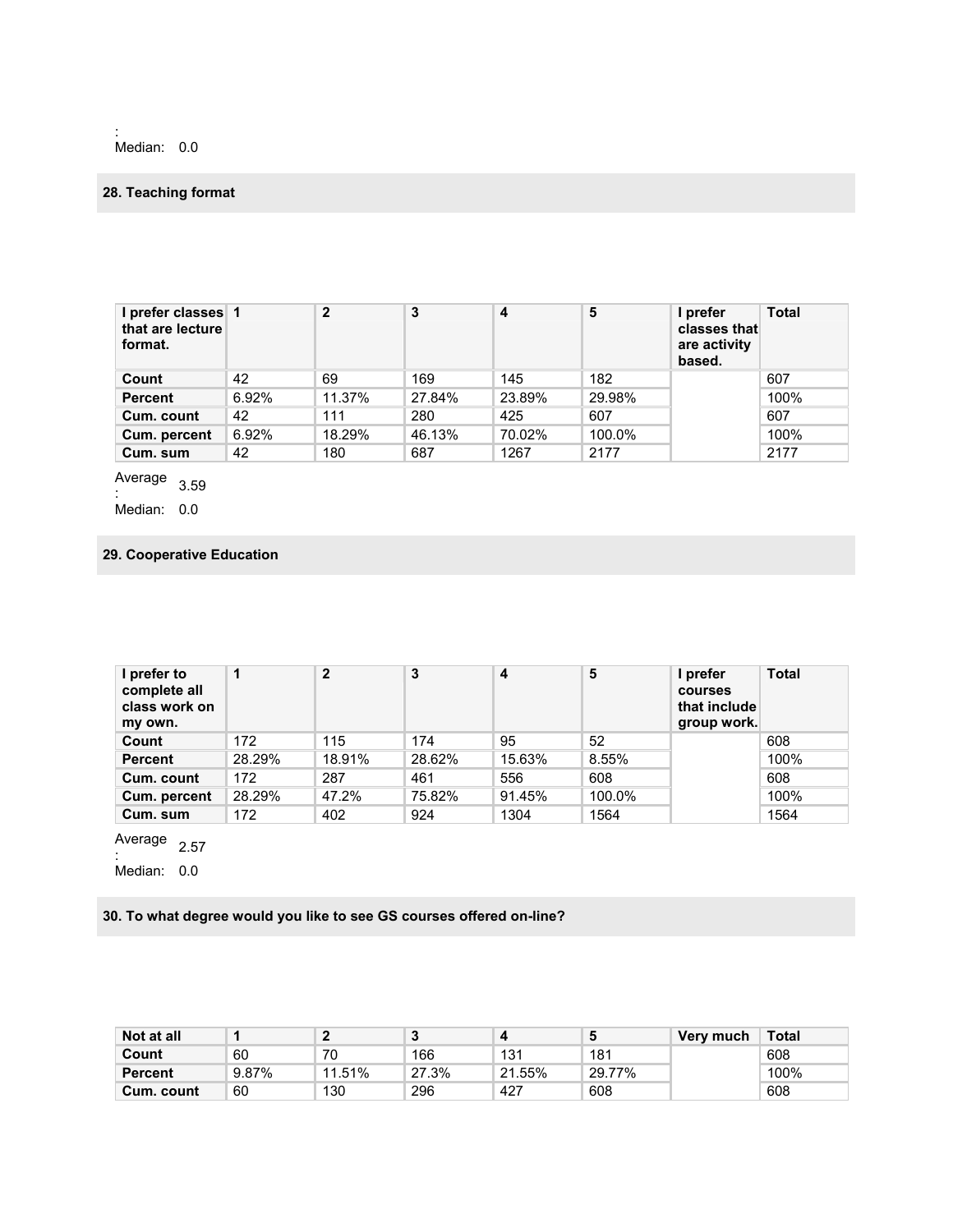: Median: 0.0

# **28. Teaching format**

| l prefer classes 1<br>that are lecture<br>format. |       | $\mathbf{2}$ | 3      | 4      | 5      | I prefer<br>classes that<br>are activity<br>based. | Total |
|---------------------------------------------------|-------|--------------|--------|--------|--------|----------------------------------------------------|-------|
| Count                                             | 42    | 69           | 169    | 145    | 182    |                                                    | 607   |
| <b>Percent</b>                                    | 6.92% | 11.37%       | 27.84% | 23.89% | 29.98% |                                                    | 100%  |
| Cum. count                                        | 42    | 111          | 280    | 425    | 607    |                                                    | 607   |
| Cum. percent                                      | 6.92% | 18.29%       | 46.13% | 70.02% | 100.0% |                                                    | 100%  |
| Cum. sum                                          | 42    | 180          | 687    | 1267   | 2177   |                                                    | 2177  |

Average  $\frac{1}{2}$ :

Median: 0.0

### **29. Cooperative Education**

| I prefer to<br>complete all<br>class work on<br>my own. | 1      | $\mathbf{2}$ | 3      | 4      | 5      | I prefer<br><b>courses</b><br>that include<br>group work. | <b>Total</b> |
|---------------------------------------------------------|--------|--------------|--------|--------|--------|-----------------------------------------------------------|--------------|
| Count                                                   | 172    | 115          | 174    | 95     | 52     |                                                           | 608          |
| <b>Percent</b>                                          | 28.29% | 18.91%       | 28.62% | 15.63% | 8.55%  |                                                           | 100%         |
| Cum. count                                              | 172    | 287          | 461    | 556    | 608    |                                                           | 608          |
| Cum. percent                                            | 28.29% | 47.2%        | 75.82% | 91.45% | 100.0% |                                                           | 100%         |
| Cum. sum                                                | 172    | 402          | 924    | 1304   | 1564   |                                                           | 1564         |

Average  $\frac{2.57}{1}$ 

Median: 0.0

**30. To what degree would you like to see GS courses offered on-line?** 

| Not at all     |       |        | u     |        |        | Very much | Total |
|----------------|-------|--------|-------|--------|--------|-----------|-------|
| Count          | 60    | 70     | 166   | 131    | 181    |           | 608   |
| <b>Percent</b> | 9.87% | 11.51% | 27.3% | 21.55% | 29.77% |           | 100%  |
| Cum. count     | 60    | 130    | 296   | 427    | 608    |           | 608   |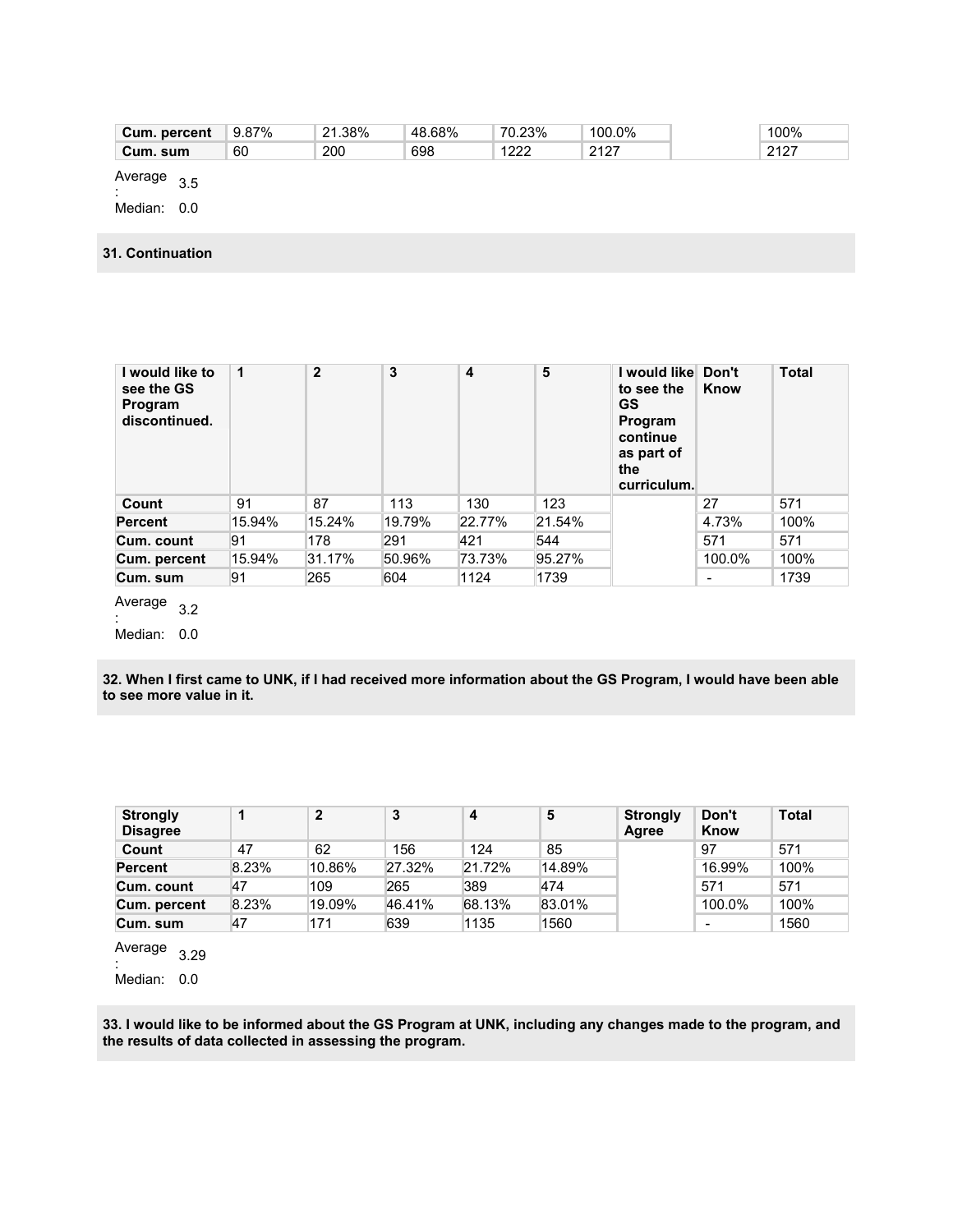| Cum.<br>percent | 87%<br>ី 9.87 | 1.38%<br>$\mathbf{a}$ | 48.68% | 70.23%    | 100.0%                      | 100%      |
|-----------------|---------------|-----------------------|--------|-----------|-----------------------------|-----------|
| Cum.<br>. sum   | 60            | 200                   | 698    | 1000<br>ᅩ | .2127<br>14 I<br>. <u>.</u> | 2427<br>. |

Average  $\frac{1}{2}$ :

Median: 0.0

### **31. Continuation**

| I would like to<br>see the GS<br>Program<br>discontinued. | 1      | $\mathbf{2}$ | 3      | 4      | 5      | I would like Don't<br>to see the<br><b>GS</b><br>Program<br>continue<br>as part of<br>the<br>curriculum. | Know                     | <b>Total</b> |
|-----------------------------------------------------------|--------|--------------|--------|--------|--------|----------------------------------------------------------------------------------------------------------|--------------------------|--------------|
| Count                                                     | 91     | 87           | 113    | 130    | 123    |                                                                                                          | 27                       | 571          |
| <b>Percent</b>                                            | 15.94% | 15.24%       | 19.79% | 22.77% | 21.54% |                                                                                                          | 4.73%                    | 100%         |
| Cum. count                                                | 91     | 178          | 291    | 421    | 544    |                                                                                                          | 571                      | 571          |
| Cum. percent                                              | 15.94% | 31.17%       | 50.96% | 73.73% | 95.27% |                                                                                                          | 100.0%                   | 100%         |
| Cum. sum                                                  | 91     | 265          | 604    | 1124   | 1739   |                                                                                                          | $\overline{\phantom{0}}$ | 1739         |
| Avorago                                                   |        |              |        |        |        |                                                                                                          |                          |              |

Average  $\frac{1}{2}$ :

Median: 0.0

**32. When I first came to UNK, if I had received more information about the GS Program, I would have been able to see more value in it.** 

| <b>Strongly</b><br><b>Disagree</b> |       | $\mathbf{2}$ | 3      | 4      | 5      | <b>Strongly</b><br>Agree | Don't<br>Know | <b>Total</b> |
|------------------------------------|-------|--------------|--------|--------|--------|--------------------------|---------------|--------------|
| Count                              | 47    | 62           | 156    | 124    | 85     |                          | 97            | 571          |
| <b>Percent</b>                     | 8.23% | 10.86%       | 27.32% | 21.72% | 14.89% |                          | 16.99%        | 100%         |
| Cum. count                         | 47    | 109          | 265    | 389    | 474    |                          | 571           | 571          |
| Cum. percent                       | 8.23% | ி9.09%       | 46.41% | 68.13% | 83.01% |                          | 100.0%        | 100%         |
| Cum. sum                           | 47    | 171          | 639    | 1135   | 1560   |                          | -             | 1560         |

Average  $\frac{1}{2}$ :

Median: 0.0

**33. I would like to be informed about the GS Program at UNK, including any changes made to the program, and the results of data collected in assessing the program.**